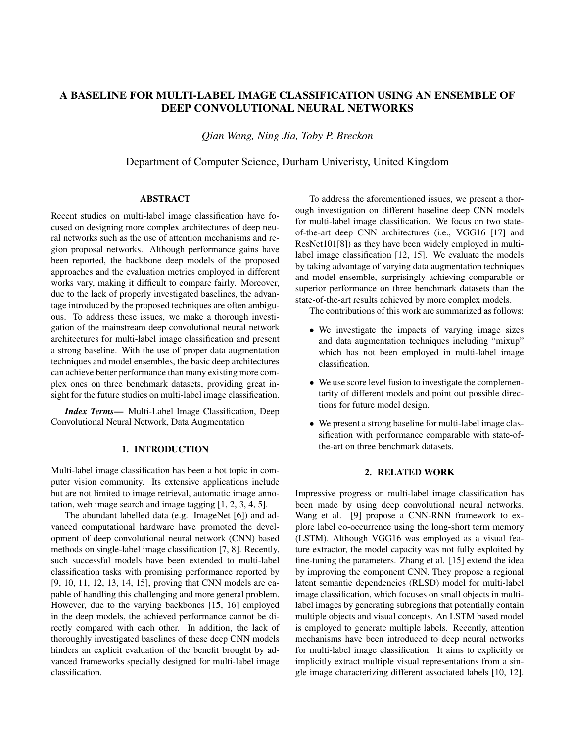# A BASELINE FOR MULTI-LABEL IMAGE CLASSIFICATION USING AN ENSEMBLE OF DEEP CONVOLUTIONAL NEURAL NETWORKS

*Qian Wang, Ning Jia, Toby P. Breckon*

## Department of Computer Science, Durham Univeristy, United Kingdom

## ABSTRACT

Recent studies on multi-label image classification have focused on designing more complex architectures of deep neural networks such as the use of attention mechanisms and region proposal networks. Although performance gains have been reported, the backbone deep models of the proposed approaches and the evaluation metrics employed in different works vary, making it difficult to compare fairly. Moreover, due to the lack of properly investigated baselines, the advantage introduced by the proposed techniques are often ambiguous. To address these issues, we make a thorough investigation of the mainstream deep convolutional neural network architectures for multi-label image classification and present a strong baseline. With the use of proper data augmentation techniques and model ensembles, the basic deep architectures can achieve better performance than many existing more complex ones on three benchmark datasets, providing great insight for the future studies on multi-label image classification.

*Index Terms*— Multi-Label Image Classification, Deep Convolutional Neural Network, Data Augmentation

## 1. INTRODUCTION

Multi-label image classification has been a hot topic in computer vision community. Its extensive applications include but are not limited to image retrieval, automatic image annotation, web image search and image tagging [1, 2, 3, 4, 5].

The abundant labelled data (e.g. ImageNet [6]) and advanced computational hardware have promoted the development of deep convolutional neural network (CNN) based methods on single-label image classification [7, 8]. Recently, such successful models have been extended to multi-label classification tasks with promising performance reported by [9, 10, 11, 12, 13, 14, 15], proving that CNN models are capable of handling this challenging and more general problem. However, due to the varying backbones [15, 16] employed in the deep models, the achieved performance cannot be directly compared with each other. In addition, the lack of thoroughly investigated baselines of these deep CNN models hinders an explicit evaluation of the benefit brought by advanced frameworks specially designed for multi-label image classification.

To address the aforementioned issues, we present a thorough investigation on different baseline deep CNN models for multi-label image classification. We focus on two stateof-the-art deep CNN architectures (i.e., VGG16 [17] and ResNet101[8]) as they have been widely employed in multilabel image classification [12, 15]. We evaluate the models by taking advantage of varying data augmentation techniques and model ensemble, surprisingly achieving comparable or superior performance on three benchmark datasets than the state-of-the-art results achieved by more complex models.

The contributions of this work are summarized as follows:

- We investigate the impacts of varying image sizes and data augmentation techniques including "mixup" which has not been employed in multi-label image classification.
- We use score level fusion to investigate the complementarity of different models and point out possible directions for future model design.
- We present a strong baseline for multi-label image classification with performance comparable with state-ofthe-art on three benchmark datasets.

## 2. RELATED WORK

Impressive progress on multi-label image classification has been made by using deep convolutional neural networks. Wang et al. [9] propose a CNN-RNN framework to explore label co-occurrence using the long-short term memory (LSTM). Although VGG16 was employed as a visual feature extractor, the model capacity was not fully exploited by fine-tuning the parameters. Zhang et al. [15] extend the idea by improving the component CNN. They propose a regional latent semantic dependencies (RLSD) model for multi-label image classification, which focuses on small objects in multilabel images by generating subregions that potentially contain multiple objects and visual concepts. An LSTM based model is employed to generate multiple labels. Recently, attention mechanisms have been introduced to deep neural networks for multi-label image classification. It aims to explicitly or implicitly extract multiple visual representations from a single image characterizing different associated labels [10, 12].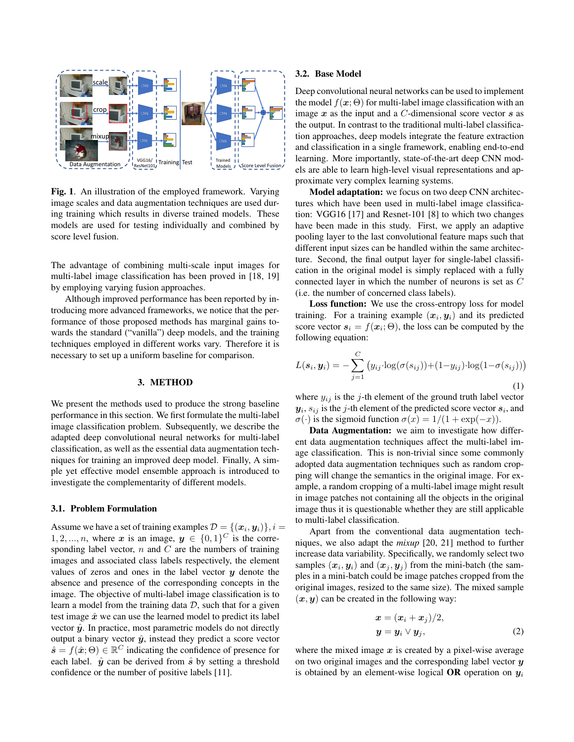

Fig. 1. An illustration of the employed framework. Varying image scales and data augmentation techniques are used during training which results in diverse trained models. These models are used for testing individually and combined by score level fusion.

The advantage of combining multi-scale input images for multi-label image classification has been proved in [18, 19] by employing varying fusion approaches.

Although improved performance has been reported by introducing more advanced frameworks, we notice that the performance of those proposed methods has marginal gains towards the standard ("vanilla") deep models, and the training techniques employed in different works vary. Therefore it is necessary to set up a uniform baseline for comparison.

#### 3. METHOD

We present the methods used to produce the strong baseline performance in this section. We first formulate the multi-label image classification problem. Subsequently, we describe the adapted deep convolutional neural networks for multi-label classification, as well as the essential data augmentation techniques for training an improved deep model. Finally, A simple yet effective model ensemble approach is introduced to investigate the complementarity of different models.

#### 3.1. Problem Formulation

Assume we have a set of training examples  $\mathcal{D} = \{(\boldsymbol{x}_i, \boldsymbol{y}_i)\}, i =$  $1, 2, \ldots, n$ , where x is an image,  $y \in \{0, 1\}^C$  is the corresponding label vector,  $n$  and  $C$  are the numbers of training images and associated class labels respectively, the element values of zeros and ones in the label vector  $y$  denote the absence and presence of the corresponding concepts in the image. The objective of multi-label image classification is to learn a model from the training data  $D$ , such that for a given test image  $\hat{x}$  we can use the learned model to predict its label vector  $\hat{y}$ . In practice, most parametric models do not directly output a binary vector  $\hat{y}$ , instead they predict a score vector  $\hat{\mathbf{s}} = f(\hat{\boldsymbol{x}}; \Theta) \in \mathbb{R}^C$  indicating the confidence of presence for each label.  $\hat{y}$  can be derived from  $\hat{s}$  by setting a threshold confidence or the number of positive labels [11].

#### 3.2. Base Model

Deep convolutional neural networks can be used to implement the model  $f(x; \Theta)$  for multi-label image classification with an image  $x$  as the input and a  $C$ -dimensional score vector  $s$  as the output. In contrast to the traditional multi-label classification approaches, deep models integrate the feature extraction and classification in a single framework, enabling end-to-end learning. More importantly, state-of-the-art deep CNN models are able to learn high-level visual representations and approximate very complex learning systems.

Model adaptation: we focus on two deep CNN architectures which have been used in multi-label image classification: VGG16 [17] and Resnet-101 [8] to which two changes have been made in this study. First, we apply an adaptive pooling layer to the last convolutional feature maps such that different input sizes can be handled within the same architecture. Second, the final output layer for single-label classification in the original model is simply replaced with a fully connected layer in which the number of neurons is set as C (i.e. the number of concerned class labels).

Loss function: We use the cross-entropy loss for model training. For a training example  $(x_i, y_i)$  and its predicted score vector  $s_i = f(x_i; \Theta)$ , the loss can be computed by the following equation:

$$
L(\boldsymbol{s}_i, \boldsymbol{y}_i) = -\sum_{j=1}^C \left( y_{ij} \cdot \log(\sigma(s_{ij})) + (1 - y_{ij}) \cdot \log(1 - \sigma(s_{ij})) \right)
$$
\n(1)

where  $y_{ij}$  is the j-th element of the ground truth label vector  $y_i, s_{ij}$  is the j-th element of the predicted score vector  $s_i$ , and  $\sigma(\cdot)$  is the sigmoid function  $\sigma(x) = 1/(1 + \exp(-x))$ .

Data Augmentation: we aim to investigate how different data augmentation techniques affect the multi-label image classification. This is non-trivial since some commonly adopted data augmentation techniques such as random cropping will change the semantics in the original image. For example, a random cropping of a multi-label image might result in image patches not containing all the objects in the original image thus it is questionable whether they are still applicable to multi-label classification.

Apart from the conventional data augmentation techniques, we also adapt the *mixup* [20, 21] method to further increase data variability. Specifically, we randomly select two samples  $(x_i, y_i)$  and  $(x_j, y_j)$  from the mini-batch (the samples in a mini-batch could be image patches cropped from the original images, resized to the same size). The mixed sample  $(x, y)$  can be created in the following way:

$$
\begin{aligned} \n\boldsymbol{x} &= (\boldsymbol{x}_i + \boldsymbol{x}_j)/2, \\ \n\boldsymbol{y} &= \boldsymbol{y}_i \vee \boldsymbol{y}_j, \n\end{aligned} \tag{2}
$$

where the mixed image  $x$  is created by a pixel-wise average on two original images and the corresponding label vector  $y$ is obtained by an element-wise logical **OR** operation on  $y_i$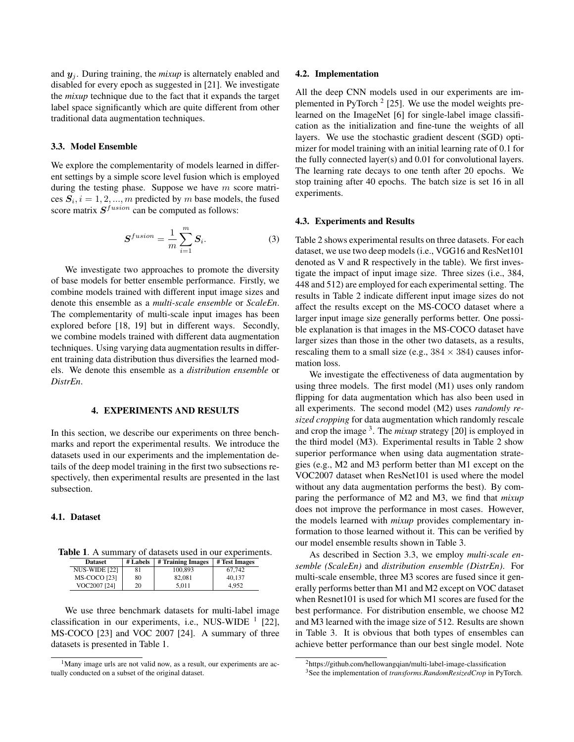and  $y_i$ . During training, the *mixup* is alternately enabled and disabled for every epoch as suggested in [21]. We investigate the *mixup* technique due to the fact that it expands the target label space significantly which are quite different from other traditional data augmentation techniques.

## 3.3. Model Ensemble

We explore the complementarity of models learned in different settings by a simple score level fusion which is employed during the testing phase. Suppose we have  $m$  score matrices  $S_i$ ,  $i = 1, 2, ..., m$  predicted by m base models, the fused score matrix  $S^{fusion}$  can be computed as follows:

$$
\boldsymbol{S}^{fusion} = \frac{1}{m} \sum_{i=1}^{m} \boldsymbol{S}_i. \tag{3}
$$

We investigate two approaches to promote the diversity of base models for better ensemble performance. Firstly, we combine models trained with different input image sizes and denote this ensemble as a *multi-scale ensemble* or *ScaleEn*. The complementarity of multi-scale input images has been explored before [18, 19] but in different ways. Secondly, we combine models trained with different data augmentation techniques. Using varying data augmentation results in different training data distribution thus diversifies the learned models. We denote this ensemble as a *distribution ensemble* or *DistrEn*.

## 4. EXPERIMENTS AND RESULTS

In this section, we describe our experiments on three benchmarks and report the experimental results. We introduce the datasets used in our experiments and the implementation details of the deep model training in the first two subsections respectively, then experimental results are presented in the last subsection.

## 4.1. Dataset

|  |  |  | <b>Table 1.</b> A summary of datasets used in our experiments. |
|--|--|--|----------------------------------------------------------------|
|  |  |  |                                                                |

| <b>Dataset</b>       | # Labels | # Training Images | # Test Images |
|----------------------|----------|-------------------|---------------|
| <b>NUS-WIDE [22]</b> | 81       | 100.893           | 67.742        |
| <b>MS-COCO</b> [23]  | 80       | 82.081            | 40.137        |
| VOC2007 [24]         | 20       | 5.011             | 4.952         |

We use three benchmark datasets for multi-label image classification in our experiments, i.e., NUS-WIDE  $<sup>1</sup>$  [22],</sup> MS-COCO [23] and VOC 2007 [24]. A summary of three datasets is presented in Table 1.

#### 4.2. Implementation

All the deep CNN models used in our experiments are implemented in PyTorch<sup>2</sup> [25]. We use the model weights prelearned on the ImageNet [6] for single-label image classification as the initialization and fine-tune the weights of all layers. We use the stochastic gradient descent (SGD) optimizer for model training with an initial learning rate of 0.1 for the fully connected layer(s) and 0.01 for convolutional layers. The learning rate decays to one tenth after 20 epochs. We stop training after 40 epochs. The batch size is set 16 in all experiments.

#### 4.3. Experiments and Results

Table 2 shows experimental results on three datasets. For each dataset, we use two deep models (i.e., VGG16 and ResNet101 denoted as V and R respectively in the table). We first investigate the impact of input image size. Three sizes (i.e., 384, 448 and 512) are employed for each experimental setting. The results in Table 2 indicate different input image sizes do not affect the results except on the MS-COCO dataset where a larger input image size generally performs better. One possible explanation is that images in the MS-COCO dataset have larger sizes than those in the other two datasets, as a results, rescaling them to a small size (e.g.,  $384 \times 384$ ) causes information loss.

We investigate the effectiveness of data augmentation by using three models. The first model (M1) uses only random flipping for data augmentation which has also been used in all experiments. The second model (M2) uses *randomly resized cropping* for data augmentation which randomly rescale and crop the image <sup>3</sup>. The *mixup* strategy [20] is employed in the third model (M3). Experimental results in Table 2 show superior performance when using data augmentation strategies (e.g., M2 and M3 perform better than M1 except on the VOC2007 dataset when ResNet101 is used where the model without any data augmentation performs the best). By comparing the performance of M2 and M3, we find that *mixup* does not improve the performance in most cases. However, the models learned with *mixup* provides complementary information to those learned without it. This can be verified by our model ensemble results shown in Table 3.

As described in Section 3.3, we employ *multi-scale ensemble (ScaleEn)* and *distribution ensemble (DistrEn)*. For multi-scale ensemble, three M3 scores are fused since it generally performs better than M1 and M2 except on VOC dataset when Resnet101 is used for which M1 scores are fused for the best performance. For distribution ensemble, we choose M2 and M3 learned with the image size of 512. Results are shown in Table 3. It is obvious that both types of ensembles can achieve better performance than our best single model. Note

<sup>&</sup>lt;sup>1</sup>Many image urls are not valid now, as a result, our experiments are actually conducted on a subset of the original dataset.

<sup>2</sup>https://github.com/hellowangqian/multi-label-image-classification

<sup>3</sup>See the implementation of *transforms.RandomResizedCrop* in PyTorch.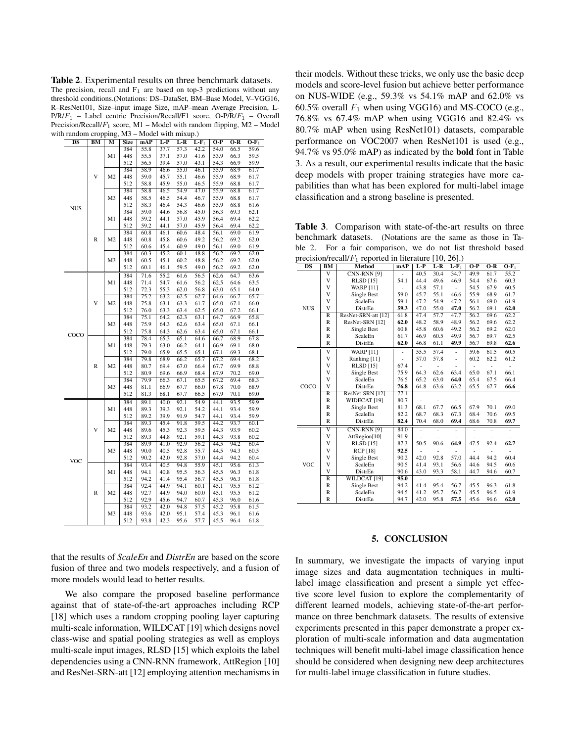Table 2. Experimental results on three benchmark datasets. The precision, recall and  $F_1$  are based on top-3 predictions without any threshold conditions.(Notations: DS–DataSet, BM–Base Model, V–VGG16, R–ResNet101, Size–input image Size, mAP–mean Average Precision, L- $P/R/F_1$  – Label centric Precision/Recall/F1 score, O-P/R/ $F_1$  – Overall Precision/Recall/ $F_1$  score, M1 – Model with random flipping, M2 – Model with random cropping,  $M3 - Model$  with mixup.)

|                        |              | $\mathsf{suppms}$ | ****        | 11 L V |       | $m$ and $m$ $\mu$ . |         |                   |       |         |
|------------------------|--------------|-------------------|-------------|--------|-------|---------------------|---------|-------------------|-------|---------|
| $\overline{\text{DS}}$ | BM           | М                 | <b>Size</b> | mAP    | $L-P$ | $L-R$               | $L-F_1$ | $O-P$             | $O-R$ | $O-F_1$ |
|                        |              |                   | 384         | 55.8   | 37.7  | 57.3                | 42.2    | 54.0              | 66.5  | 59.6    |
|                        |              | M1                | 448         | 55.5   | 37.1  | 57.0                | 41.6    | 53.9              | 66.3  | 59.5    |
|                        |              |                   | 512         | 56.5   | 39.4  | 57.0                | 43.1    | 54.3              | 66.9  | 59.9    |
|                        |              |                   | 384         | 58.9   | 46.6  | 55.0                | 46.1    | 55.9              | 68.9  | 61.7    |
|                        | V            | M <sub>2</sub>    | 448         | 59.0   | 45.7  | 55.1                | 46.6    | 55.9              | 68.9  | 61.7    |
|                        |              |                   | 512         | 58.8   | 45.9  | 55.0                | 46.5    | 55.9              | 68.8  | 61.7    |
|                        |              |                   | 384         | 58.8   | 46.5  | 54.9                | 47.0    | 55.9              | 68.8  | 61.7    |
|                        |              | M <sub>3</sub>    | 448         | 58.5   | 46.5  | 54.4                | 46.7    | 55.9              | 68.8  | 61.7    |
|                        |              |                   | 512         | 58.3   | 46.4  | 54.3                | 46.6    | 55.9              | 68.8  | 61.6    |
| <b>NUS</b>             |              |                   | 384         | 59.0   | 44.6  | 56.8                | 45.0    | 56.3              | 69.3  | 62.1    |
|                        |              | M1                | 448         | 59.2   | 44.1  | 57.0                | 45.9    | 56.4              | 69.4  | 62.2    |
|                        |              |                   | 512         | 59.2   | 44.1  | 57.0                | 45.9    | 56.4              | 69.4  | 62.2    |
|                        |              |                   | 384         | 60.8   | 46.1  | 60.6                | 48.4    | $\overline{56.1}$ | 69.0  | 61.9    |
|                        | R            | M <sub>2</sub>    | 448         | 60.8   | 45.8  | 60.6                | 49.2    | 56.2              | 69.2  | 62.0    |
|                        |              |                   | 512         | 60.6   | 45.4  | 60.9                | 49.0    | 56.1              | 69.0  | 61.9    |
|                        |              |                   | 384         | 60.3   | 45.2  | 60.1                | 48.8    | 56.2              | 69.2  | 62.0    |
|                        |              | M <sub>3</sub>    | 448         | 60.5   | 45.1  | 60.2                | 48.8    | 56.2              | 69.2  | 62.0    |
|                        |              |                   | 512         | 60.1   | 46.1  | 59.5                | 49.0    | 56.2              | 69.2  | 62.0    |
|                        |              | M1                | 384         | 71.6   | 55.2  | 61.6                | 56.5    | 62.6              | 64.7  | 63.6    |
|                        |              |                   | 448         | 71.4   | 54.7  | 61.6                | 56.2    | 62.5              | 64.6  | 63.5    |
|                        |              |                   | 512         | 72.3   | 55.3  | 62.0                | 56.8    | 63.0              | 65.1  | 64.0    |
|                        |              |                   | 384         | 75.2   | 63.2  | 62.5                | 62.7    | 64.6              | 66.7  | 65.7    |
|                        | V            | M <sub>2</sub>    | 448         | 75.8   | 63.1  | 63.3                | 61.7    | 65.0              | 67.1  | 66.0    |
|                        |              |                   | 512         | 76.0   | 63.3  | 63.4                | 62.5    | 65.0              | 67.2  | 66.1    |
|                        |              | M <sub>3</sub>    | 384         | 75.1   | 64.2  | 62.3                | 63.1    | 64.7              | 66.9  | 65.8    |
|                        |              |                   | 448         | 75.9   | 64.3  | 62.6                | 63.4    | 65.0              | 67.1  | 66.1    |
|                        |              |                   | 512         | 75.8   | 64.3  | 62.6                | 63.4    | 65.0              | 67.1  | 66.1    |
| COCO                   |              | M1                | 384         | 78.4   | 65.3  | 65.1                | 64.6    | 66.7              | 68.9  | 67.8    |
|                        |              |                   | 448         | 79.3   | 63.0  | 66.2                | 64.1    | 66.9              | 69.1  | 68.0    |
|                        |              |                   | 512         | 79.0   | 65.9  | 65.5                | 65.1    | 67.1              | 69.3  | 68.1    |
|                        |              |                   | 384         | 79.8   | 68.9  | 66.2                | 65.7    | 67.2              | 69.4  | 68.2    |
|                        | $\mathbb{R}$ | M <sub>2</sub>    | 448         | 80.7   | 69.4  | 67.0                | 66.4    | 67.7              | 69.9  | 68.8    |
|                        |              |                   | 512         | 80.9   | 69.6  | 66.9                | 68.4    | 67.9              | 70.2  | 69.0    |
|                        |              | M3                | 384         | 79.9   | 66.3  | 67.1                | 65.5    | 67.2              | 69.4  | 68.3    |
|                        |              |                   | 448         | 81.1   | 66.9  | 67.7                | 66.0    | 67.8              | 70.0  | 68.9    |
|                        |              |                   | 512         | 81.3   | 68.1  | 67.7                | 66.5    | 67.9              | 70.1  | 69.0    |
|                        |              |                   | 384         | 89.1   | 40.0  | 92.1                | 54.9    | 44.1              | 93.5  | 59.9    |
|                        | V            | M1                | 448         | 89.3   | 39.3  | 92.1                | 54.2    | 44.1              | 93.4  | 59.9    |
|                        |              |                   | 512         | 89.2   | 39.9  | 91.9                | 54.7    | 44.1              | 93.4  | 59.9    |
|                        |              | M <sub>2</sub>    | 384         | 89.3   | 45.4  | 91.8                | 59.5    | 44.2              | 93.7  | 60.1    |
|                        |              |                   | 448         | 89.6   | 45.3  | 92.3                | 59.5    | 44.3              | 93.9  | 60.2    |
|                        |              |                   | 512         | 89.3   | 44.8  | 92.1                | 59.1    | 44.3              | 93.8  | 60.2    |
|                        |              | M <sub>3</sub>    | 384         | 89.9   | 41.0  | 92.9                | 56.2    | 44.5              | 94.2  | 60.4    |
| VOC                    |              |                   | 448         | 90.0   | 40.5  | 92.8                | 55.7    | 44.5              | 94.3  | 60.5    |
|                        |              |                   | 512         | 90.2   | 42.0  | 92.8                | 57.0    | 44.4              | 94.2  | 60.4    |
|                        |              | M1                | 384         | 93.4   | 40.5  | 94.8                | 55.9    | 45.1              | 95.6  | 61.3    |
|                        |              |                   | 448         | 94.1   | 40.8  | 95.5                | 56.3    | 45.5              | 96.3  | 61.8    |
|                        |              |                   | 512         | 94.2   | 41.4  | 95.4                | 56.7    | 45.5              | 96.3  | 61.8    |
|                        |              | M <sub>2</sub>    | 384         | 92.4   | 44.9  | 94.1                | 60.1    | 45.1              | 95.5  | 61.2    |
|                        | R            |                   | 448         | 92.7   | 44.9  | 94.0                | 60.0    | 45.1              | 95.5  | 61.2    |
|                        |              |                   | 512         | 92.9   | 45.6  | 94.7                | 60.7    | 45.3              | 96.0  | 61.6    |
|                        |              | M3                | 384         | 93.2   | 42.0  | 94.8                | 57.5    | 45.2              | 95.8  | 61.5    |
|                        |              |                   | 448         | 93.6   | 42.0  | 95.1                | 57.4    | 45.3              | 96.1  | 61.6    |
|                        |              |                   | 512         | 93.8   | 42.3  | 95.6                | 57.7    | 45.5              | 96.4  | 61.8    |
|                        |              |                   |             |        |       |                     |         |                   |       |         |

their models. Without these tricks, we only use the basic deep models and score-level fusion but achieve better performance on NUS-WIDE (e.g., 59.3% vs 54.1% mAP and 62.0% vs 60.5% overall  $F_1$  when using VGG16) and MS-COCO (e.g., 76.8% vs 67.4% mAP when using VGG16 and 82.4% vs 80.7% mAP when using ResNet101) datasets, comparable performance on VOC2007 when ResNet101 is used (e.g., 94.7% vs 95.0% mAP) as indicated by the bold font in Table 3. As a result, our experimental results indicate that the basic deep models with proper training strategies have more capabilities than what has been explored for multi-label image classification and a strong baseline is presented.

Table 3. Comparison with state-of-the-art results on three benchmark datasets. (Notations are the same as those in Table 2. For a fair comparison, we do not list threshold based precision/recall/ $F_1$  reported in literature [10, 26].)

| DS         | BМ                      | $\mu$ . Precision/recam/ $\tau_1$ reported in incrutate [10, 20].<br>Method | mAP            | $L-P$          | L-R            | $L-F_1$        | $O-P$          | $O-R$          | $O-F_1$ |
|------------|-------------------------|-----------------------------------------------------------------------------|----------------|----------------|----------------|----------------|----------------|----------------|---------|
|            | $\overline{\mathsf{v}}$ | CNN-RNN [9]                                                                 |                | 40.5           | 30.4           | 34.7           | 49.9           | 61.7           | 55.2    |
|            | V                       | <b>RLSD</b> [15]                                                            | 54.1           | 44.4           | 49.6           | 46.9           | 54.4           | 67.6           | 60.3    |
| <b>NUS</b> | V                       | <b>WARP</b> [11]                                                            |                | 43.8           | 57.1           | $\overline{a}$ | 54.5           | 67.9           | 60.5    |
|            | V                       | Single Best                                                                 | 59.0           | 45.7           | 55.1           | 46.6           | 55.9           | 68.9           | 61.7    |
|            | V                       | ScaleEn                                                                     | 59.1           | 47.2           | 54.9           | 47.2           | 56.1           | 69.0           | 61.9    |
|            | V                       | DistrEn                                                                     | 59.3           | 47.0           | 55.0           | 47.0           | 56.2           | 69.1           | 62.0    |
|            | R                       | ResNet-SRN-att [12]                                                         | 61.8           | 47.4           | 57.7           | 47.7           | 56.2           | 69.6           | 62.2    |
|            | $\mathbb{R}$            | ResNet-SRN [12]                                                             | 62.0           | 48.2           | 58.9           | 48.9           | 56.2           | 69.6           | 62.2    |
|            | $\mathbb{R}$            | Single Best                                                                 | 60.8           | 45.8           | 60.6           | 49.2           | 56.2           | 69.2           | 62.0    |
|            | $\mathbb{R}$            | ScaleEn                                                                     | 61.7           | 46.9           | 60.5           | 49.9           | 56.7           | 69.7           | 62.5    |
|            | $\mathbb{R}$            | DistrEn                                                                     | 62.0           | 46.8           | 61.1           | 49.9           | 56.7           | 69.8           | 62.6    |
|            | $\overline{\mathsf{v}}$ | <b>WARP [11]</b>                                                            | $\overline{a}$ | 55.5           | 57.4           | $\overline{a}$ | 59.6           | 61.5           | 60.5    |
|            | V                       | Ranking [11]                                                                |                | 57.0           | 57.8           | $\overline{a}$ | 60.2           | 62.2           | 61.2    |
|            | V                       | <b>RLSD</b> [15]                                                            | 67.4           | $\overline{a}$ |                | $\overline{a}$ | -              |                |         |
|            | V                       | Single Best                                                                 | 75.9           | 64.3           | 62.6           | 63.4           | 65.0           | 67.1           | 66.1    |
|            | V                       | ScaleEn                                                                     | 76.5           | 65.2           | 63.0           | 64.0           | 65.4           | 67.5           | 66.4    |
| COCO       | V                       | DistrEn                                                                     | 76.8           | 64.8           | 63.6           | 63.2           | 65.5           | 67.7           | 66.6    |
|            | $\overline{\mathbb{R}}$ | ResNet-SRN [12]                                                             | 77.1           |                |                | $\overline{a}$ | $\overline{a}$ | $\overline{a}$ |         |
|            | $\mathbb{R}$            | WIDECAT <sup>[19]</sup>                                                     | 80.7           |                |                |                |                |                |         |
|            | $\mathbb{R}$            | Single Best                                                                 | 81.3           | 68.1           | 67.7           | 66.5           | 67.9           | 70.1           | 69.0    |
|            | $\mathbb{R}$            | ScaleEn                                                                     | 82.2           | 68.7           | 68.3           | 67.3           | 68.4           | 70.6           | 69.5    |
|            | $\mathbb{R}$            | DistrEn                                                                     | 82.4           | 70.4           | 68.0           | 69.4           | 68.6           | 70.8           | 69.7    |
| <b>VOC</b> | $\overline{\rm v}$      | CNN-RNN [9]                                                                 | 84.0           |                |                |                |                |                |         |
|            | V                       | AttRegion[10]                                                               | 91.9           |                |                |                |                |                |         |
|            | V                       | <b>RLSD</b> [15]                                                            | 87.3           | 50.5           | 90.6           | 64.9           | 47.5           | 92.4           | 62.7    |
|            | V                       | <b>RCP</b> [18]                                                             | 92.5           |                |                | L,             |                |                |         |
|            | V                       | Single Best                                                                 | 90.2           | 42.0           | 92.8           | 57.0           | 44.4           | 94.2           | 60.4    |
|            | $\overline{\mathbf{V}}$ | ScaleEn                                                                     | 90.5           | 41.4           | 93.1           | 56.6           | 44.6           | 94.5           | 60.6    |
|            | V                       | DistrEn                                                                     | 90.6           | 43.0           | 93.3           | 58.1           | 44.7           | 94.6           | 60.7    |
|            | $\overline{\mathbb{R}}$ | WILDCAT <sup>[19]</sup>                                                     | 95.0           |                | $\overline{a}$ | $\overline{a}$ | L,             |                |         |
|            | R                       | Single Best                                                                 | 94.2           | 41.4           | 95.4           | 56.7           | 45.5           | 96.3           | 61.8    |
|            | $\mathbb{R}$            | ScaleEn                                                                     | 94.5           | 41.2           | 95.7           | 56.7           | 45.5           | 96.5           | 61.9    |
|            | R                       | DistrEn                                                                     | 94.7           | 42.0           | 95.8           | 57.5           | 45.6           | 96.6           | 62.0    |

#### 5. CONCLUSION

that the results of *ScaleEn* and *DistrEn* are based on the score fusion of three and two models respectively, and a fusion of more models would lead to better results.

We also compare the proposed baseline performance against that of state-of-the-art approaches including RCP [18] which uses a random cropping pooling layer capturing multi-scale information, WILDCAT [19] which designs novel class-wise and spatial pooling strategies as well as employs multi-scale input images, RLSD [15] which exploits the label dependencies using a CNN-RNN framework, AttRegion [10] and ResNet-SRN-att [12] employing attention mechanisms in

In summary, we investigate the impacts of varying input image sizes and data augmentation techniques in multilabel image classification and present a simple yet effective score level fusion to explore the complementarity of different learned models, achieving state-of-the-art performance on three benchmark datasets. The results of extensive experiments presented in this paper demonstrate a proper exploration of multi-scale information and data augmentation techniques will benefit multi-label image classification hence should be considered when designing new deep architectures for multi-label image classification in future studies.